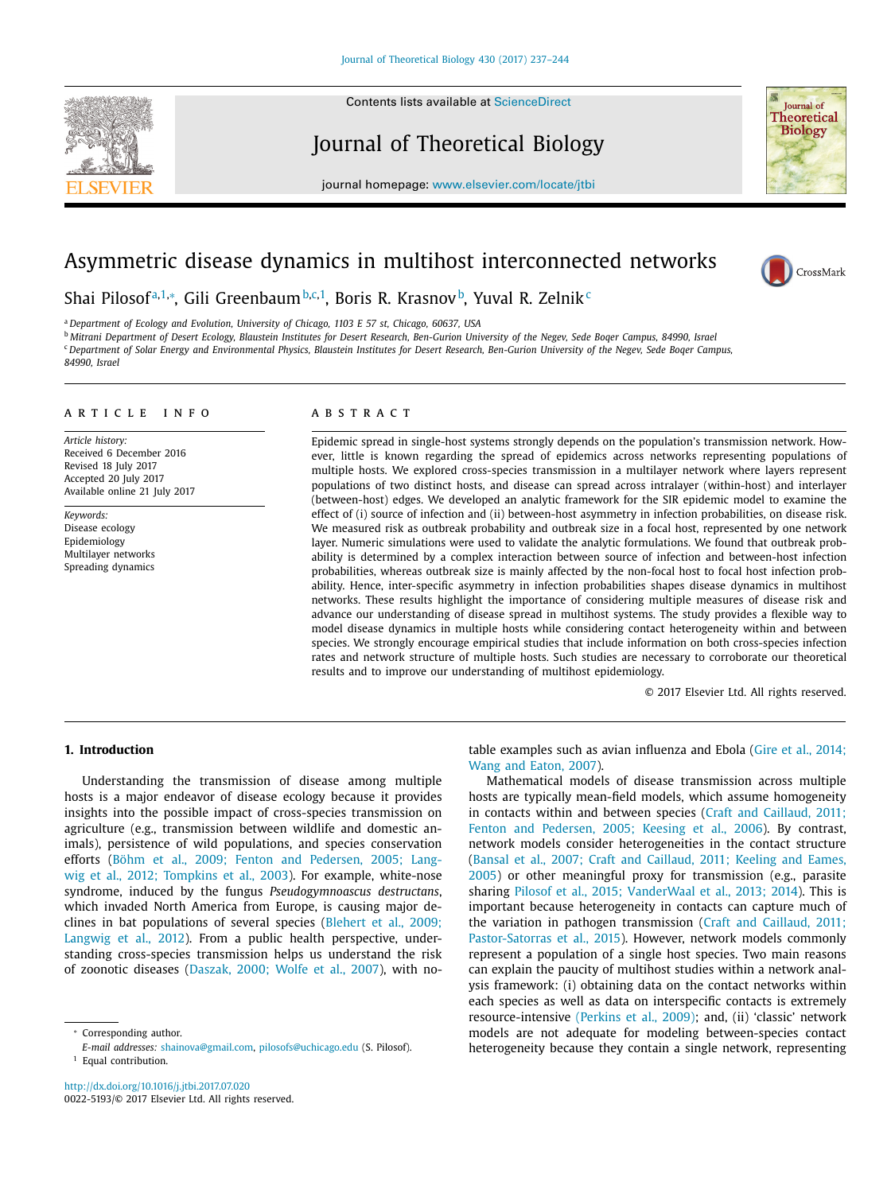#### Contents lists available at [ScienceDirect](http://www.ScienceDirect.com)

# Journal of Theoretical Biology

journal homepage: [www.elsevier.com/locate/jtbi](http://www.elsevier.com/locate/jtbi)

# Asymmetric disease dynamics in multihost interconnected networks

Shai Pilosofª,<sup>1,</sup>\*, Gili Greenbaum <sup>b,c,1</sup>, Boris R. Krasnov <sup>b</sup>, Yuval R. Zelnik <del>'</del>

<sup>a</sup> *Department of Ecology and Evolution, University of Chicago, 1103 E 57 st, Chicago, 60637, USA* <sup>b</sup> Mitrani Department of Desert Ecology, Blaustein Institutes for Desert Research, Ben-Gurion University of the Negev, Sede Boqer Campus, 84990, Israel <sup>c</sup> Department of Solar Energy and Environmental Physics, Blaustein Institutes for Desert Research, Ben-Gurion University of the Negev, Sede Boqer Campus, *84990, Israel*

#### a r t i c l e i n f o

*Article history:* Received 6 December 2016 Revised 18 July 2017 Accepted 20 July 2017 Available online 21 July 2017

*Keywords:* Disease ecology Epidemiology Multilayer networks Spreading dynamics

# A B S T R A C T

Epidemic spread in single-host systems strongly depends on the population's transmission network. However, little is known regarding the spread of epidemics across networks representing populations of multiple hosts. We explored cross-species transmission in a multilayer network where layers represent populations of two distinct hosts, and disease can spread across intralayer (within-host) and interlayer (between-host) edges. We developed an analytic framework for the SIR epidemic model to examine the effect of (i) source of infection and (ii) between-host asymmetry in infection probabilities, on disease risk. We measured risk as outbreak probability and outbreak size in a focal host, represented by one network layer. Numeric simulations were used to validate the analytic formulations. We found that outbreak probability is determined by a complex interaction between source of infection and between-host infection probabilities, whereas outbreak size is mainly affected by the non-focal host to focal host infection probability. Hence, inter-specific asymmetry in infection probabilities shapes disease dynamics in multihost networks. These results highlight the importance of considering multiple measures of disease risk and advance our understanding of disease spread in multihost systems. The study provides a flexible way to model disease dynamics in multiple hosts while considering contact heterogeneity within and between species. We strongly encourage empirical studies that include information on both cross-species infection rates and network structure of multiple hosts. Such studies are necessary to corroborate our theoretical results and to improve our understanding of multihost epidemiology.

© 2017 Elsevier Ltd. All rights reserved.

# **1. Introduction**

Understanding the transmission of disease among multiple hosts is a major endeavor of disease ecology because it provides insights into the possible impact of cross-species transmission on agriculture (e.g., transmission between wildlife and domestic animals), persistence of wild populations, and species conservation efforts (Böhm et al., 2009; Fenton and Pedersen, 2005; Langwig et al., 2012; Tompkins et al., 2003). For example, [white-nose](#page-7-0) syndrome, induced by the fungus *Pseudogymnoascus destructans*, which invaded North America from Europe, is causing major declines in bat populations of several species (Blehert et al., 2009; Langwig et al., 2012). From a public health [perspective,](#page-7-0) understanding cross-species transmission helps us understand the risk of zoonotic diseases [\(Daszak,](#page-7-0) 2000; Wolfe et al., 2007), with no-

*E-mail addresses:* [shainova@gmail.com,](mailto:shainova@gmail.com) [pilosofs@uchicago.edu](mailto:pilosofs@uchicago.edu) (S. Pilosof). <sup>1</sup> Equal contribution.

<http://dx.doi.org/10.1016/j.jtbi.2017.07.020> 0022-5193/© 2017 Elsevier Ltd. All rights reserved. table [examples](#page-7-0) such as avian influenza and Ebola (Gire et al., 2014; Wang and Eaton, 2007).

Mathematical models of disease transmission across multiple hosts are typically mean-field models, which assume homogeneity in contacts within and between species (Craft and Caillaud, 2011; Fenton and [Pedersen,](#page-7-0) 2005; Keesing et al., 2006). By contrast, network models consider heterogeneities in the contact structure (Bansal et al., 2007; Craft and Caillaud, 2011; Keeling and Eames, 2005) or other meaningful proxy for [transmission](#page-7-0) (e.g., parasite sharing Pilosof et al., 2015; [VanderWaal](#page-7-0) et al., 2013; 2014). This is important because heterogeneity in contacts can capture much of the variation in pathogen transmission (Craft and Caillaud, 2011; [Pastor-Satorras](#page-7-0) et al., 2015). However, network models commonly represent a population of a single host species. Two main reasons can explain the paucity of multihost studies within a network analysis framework: (i) obtaining data on the contact networks within each species as well as data on interspecific contacts is extremely resource-intensive [\(Perkins](#page-7-0) et al., 2009); and, (ii) 'classic' network models are not adequate for modeling between-species contact heterogeneity because they contain a single network, representing



CrossMark

Corresponding author.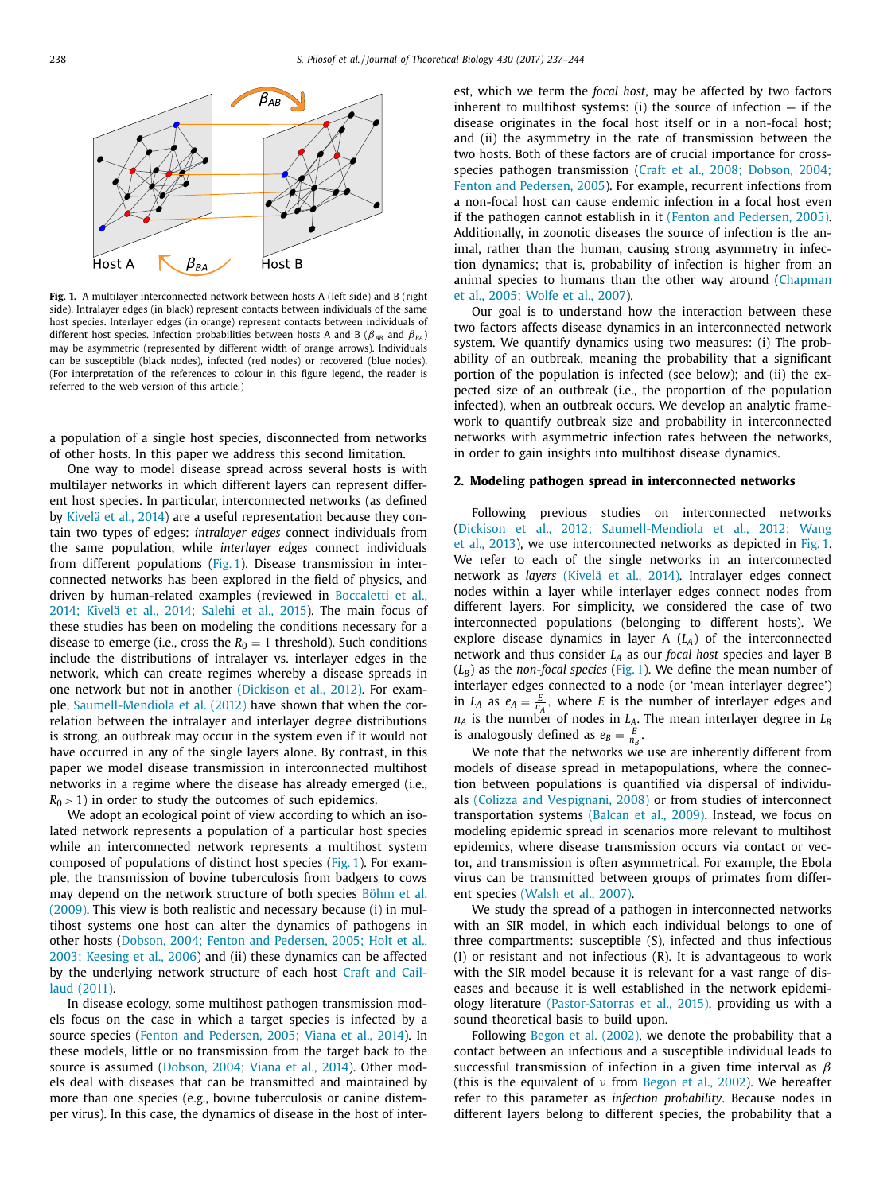

**Fig. 1.** A multilayer interconnected network between hosts A (left side) and B (right side). Intralayer edges (in black) represent contacts between individuals of the same host species. Interlayer edges (in orange) represent contacts between individuals of different host species. Infection probabilities between hosts A and B ( $\beta_{AB}$  and  $\beta_{BA}$ ) may be asymmetric (represented by different width of orange arrows). Individuals can be susceptible (black nodes), infected (red nodes) or recovered (blue nodes). (For interpretation of the references to colour in this figure legend, the reader is referred to the web version of this article.)

a population of a single host species, disconnected from networks of other hosts. In this paper we address this second limitation.

One way to model disease spread across several hosts is with multilayer networks in which different layers can represent different host species. In particular, interconnected networks (as defined by [Kivelä et](#page-7-0) al., 2014) are a useful representation because they contain two types of edges: *intralayer edges* connect individuals from the same population, while *interlayer edges* connect individuals from different populations (Fig. 1). Disease transmission in interconnected networks has been explored in the field of physics, and driven by human-related examples (reviewed in Boccaletti et al., 2014; Kivelä et al., 2014; Salehi et al., 2015). [The main focus of](#page-7-0) these studies has been on modeling the conditions necessary for a disease to emerge (i.e., cross the  $R_0 = 1$  threshold). Such conditions include the distributions of intralayer vs. interlayer edges in the network, which can create regimes whereby a disease spreads in one network but not in another [\(Dickison](#page-7-0) et al., 2012). For example, [Saumell-Mendiola](#page-7-0) et al. (2012) have shown that when the correlation between the intralayer and interlayer degree distributions is strong, an outbreak may occur in the system even if it would not have occurred in any of the single layers alone. By contrast, in this paper we model disease transmission in interconnected multihost networks in a regime where the disease has already emerged (i.e.,  $R_0$  > 1) in order to study the outcomes of such epidemics.

We adopt an ecological point of view according to which an isolated network represents a population of a particular host species while an interconnected network represents a multihost system composed of populations of distinct host species (Fig. 1). For example, the transmission of bovine tuberculosis from badgers to cows may depend on the network structure of both species Böhm et al. (2009). This view is both realistic and [necessary](#page-7-0) because (i) in multihost systems one host can alter the dynamics of pathogens in other hosts (Dobson, 2004; Fenton and [Pedersen,](#page-7-0) 2005; Holt et al., 2003; Keesing et al., 2006) and (ii) these dynamics can be affected by the [underlying](#page-7-0) network structure of each host Craft and Caillaud (2011).

In disease ecology, some multihost pathogen transmission models focus on the case in which a target species is infected by a source species (Fenton and [Pedersen,](#page-7-0) 2005; Viana et al., 2014). In these models, little or no transmission from the target back to the source is assumed [\(Dobson,](#page-7-0) 2004; Viana et al., 2014). Other models deal with diseases that can be transmitted and maintained by more than one species (e.g., bovine tuberculosis or canine distemper virus). In this case, the dynamics of disease in the host of interest, which we term the *focal host*, may be affected by two factors inherent to multihost systems: (i) the source of infection  $-$  if the disease originates in the focal host itself or in a non-focal host; and (ii) the asymmetry in the rate of transmission between the two hosts. Both of these factors are of crucial importance for crossspecies pathogen [transmission](#page-7-0) (Craft et al., 2008; Dobson, 2004; Fenton and Pedersen, 2005). For example, recurrent infections from a non-focal host can cause endemic infection in a focal host even if the pathogen cannot establish in it (Fenton and [Pedersen,](#page-7-0) 2005). Additionally, in zoonotic diseases the source of infection is the animal, rather than the human, causing strong asymmetry in infection dynamics; that is, probability of infection is higher from an animal species to humans than the other way around [\(Chapman](#page-7-0) et al., 2005; Wolfe et al., 2007).

Our goal is to understand how the interaction between these two factors affects disease dynamics in an interconnected network system. We quantify dynamics using two measures: (i) The probability of an outbreak, meaning the probability that a significant portion of the population is infected (see below); and (ii) the expected size of an outbreak (i.e., the proportion of the population infected), when an outbreak occurs. We develop an analytic framework to quantify outbreak size and probability in interconnected networks with asymmetric infection rates between the networks, in order to gain insights into multihost disease dynamics.

#### **2. Modeling pathogen spread in interconnected networks**

Following previous studies on interconnected networks (Dickison et al., 2012; [Saumell-Mendiola](#page-7-0) et al., 2012; Wang et al., 2013), we use interconnected networks as depicted in Fig. 1. We refer to each of the single networks in an interconnected network as *layers* [\(Kivelä et](#page-7-0) al., 2014). Intralayer edges connect nodes within a layer while interlayer edges connect nodes from different layers. For simplicity, we considered the case of two interconnected populations (belonging to different hosts). We explore disease dynamics in layer A (*LA*) of the interconnected network and thus consider *LA* as our *focal host* species and layer B  $(L_B)$  as the *non-focal species* (Fig. 1). We define the mean number of interlayer edges connected to a node (or 'mean interlayer degree') in *L<sub>A</sub>* as  $e_A = \frac{E}{n_A}$ , where *E* is the number of interlayer edges and  $n_A$  is the number of nodes in  $L_A$ . The mean interlayer degree in  $L_B$ is analogously defined as  $e_B = \frac{E}{n_B}$ .

We note that the networks we use are inherently different from models of disease spread in metapopulations, where the connection between populations is quantified via dispersal of individuals (Colizza and [Vespignani,](#page-7-0) 2008) or from studies of interconnect transportation systems [\(Balcan](#page-7-0) et al., 2009). Instead, we focus on modeling epidemic spread in scenarios more relevant to multihost epidemics, where disease transmission occurs via contact or vector, and transmission is often asymmetrical. For example, the Ebola virus can be transmitted between groups of primates from different species [\(Walsh](#page-7-0) et al., 2007).

We study the spread of a pathogen in interconnected networks with an SIR model, in which each individual belongs to one of three compartments: susceptible (S), infected and thus infectious (I) or resistant and not infectious (R). It is advantageous to work with the SIR model because it is relevant for a vast range of diseases and because it is well established in the network epidemiology literature [\(Pastor-Satorras](#page-7-0) et al., 2015), providing us with a sound theoretical basis to build upon.

Following Begon et al. [\(2002\),](#page-7-0) we denote the probability that a contact between an infectious and a susceptible individual leads to successful transmission of infection in a given time interval as  $\beta$ (this is the equivalent of  $\nu$  from [Begon](#page-7-0) et al., 2002). We hereafter refer to this parameter as *infection probability*. Because nodes in different layers belong to different species, the probability that a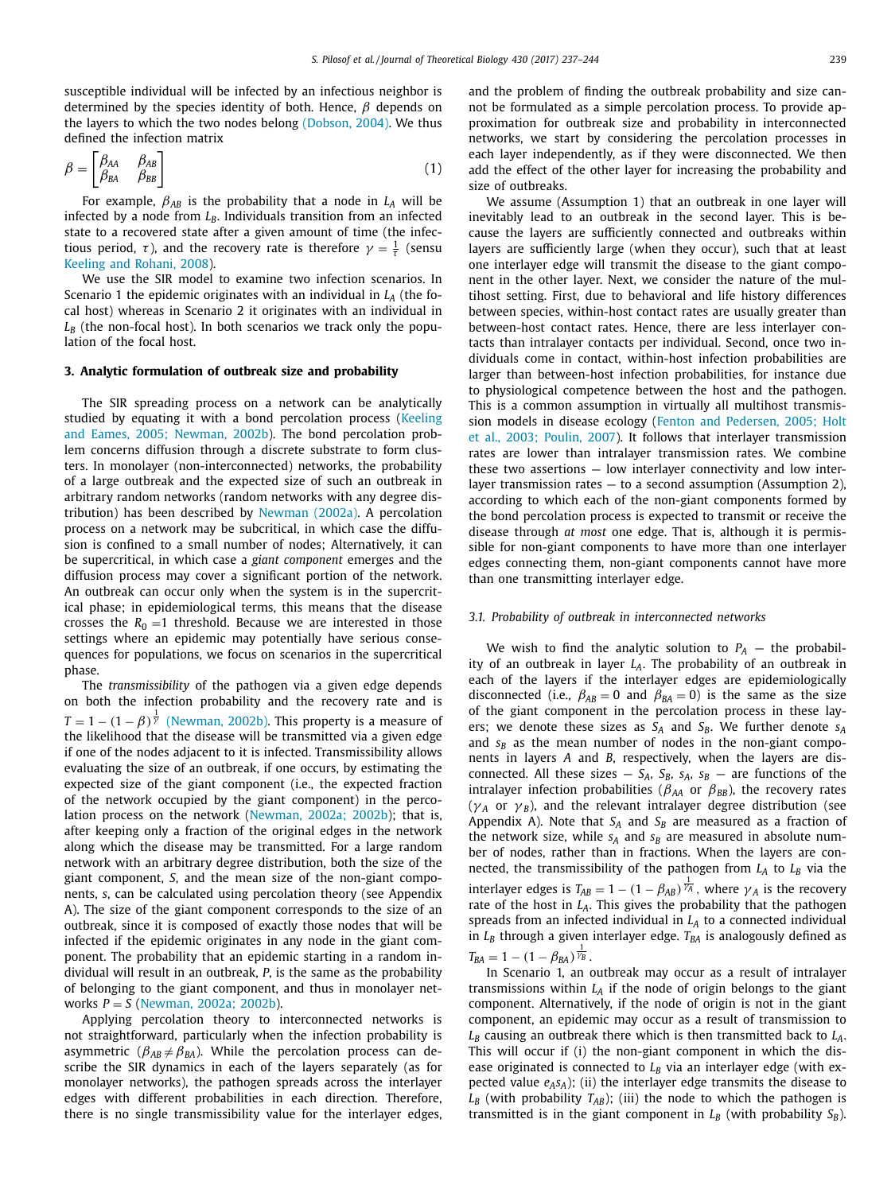susceptible individual will be infected by an infectious neighbor is determined by the species identity of both. Hence,  $\beta$  depends on the layers to which the two nodes belong [\(Dobson,](#page-7-0) 2004). We thus defined the infection matrix

$$
\beta = \begin{bmatrix} \beta_{AA} & \beta_{AB} \\ \beta_{BA} & \beta_{BB} \end{bmatrix} \tag{1}
$$

For example,  $\beta_{AB}$  is the probability that a node in  $L_A$  will be infected by a node from  $L_B$ . Individuals transition from an infected state to a recovered state after a given amount of time (the infectious period,  $\tau$ ), and the recovery rate is therefore  $\gamma = \frac{1}{\tau}$  (sensu Keeling and [Rohani,](#page-7-0) 2008).

We use the SIR model to examine two infection scenarios. In Scenario 1 the epidemic originates with an individual in  $L<sub>A</sub>$  (the focal host) whereas in Scenario 2 it originates with an individual in  $L_B$  (the non-focal host). In both scenarios we track only the population of the focal host.

### **3. Analytic formulation of outbreak size and probability**

The SIR spreading process on a network can be analytically studied by equating it with a bond [percolation](#page-7-0) process (Keeling and Eames, 2005; Newman, 2002b). The bond percolation problem concerns diffusion through a discrete substrate to form clusters. In monolayer (non-interconnected) networks, the probability of a large outbreak and the expected size of such an outbreak in arbitrary random networks (random networks with any degree distribution) has been described by [Newman](#page-7-0) (2002a). A percolation process on a network may be subcritical, in which case the diffusion is confined to a small number of nodes; Alternatively, it can be supercritical, in which case a *giant component* emerges and the diffusion process may cover a significant portion of the network. An outbreak can occur only when the system is in the supercritical phase; in epidemiological terms, this means that the disease crosses the  $R_0 = 1$  threshold. Because we are interested in those settings where an epidemic may potentially have serious consequences for populations, we focus on scenarios in the supercritical phase.

The *transmissibility* of the pathogen via a given edge depends on both the infection probability and the recovery rate and is  $T = 1 - (1 - \beta)^{\frac{1}{\gamma}}$  [\(Newman,](#page-7-0) 2002b). This property is a measure of the likelihood that the disease will be transmitted via a given edge if one of the nodes adjacent to it is infected. Transmissibility allows evaluating the size of an outbreak, if one occurs, by estimating the expected size of the giant component (i.e., the expected fraction of the network occupied by the giant component) in the percolation process on the network [\(Newman,](#page-7-0) 2002a; 2002b); that is, after keeping only a fraction of the original edges in the network along which the disease may be transmitted. For a large random network with an arbitrary degree distribution, both the size of the giant component, *S*, and the mean size of the non-giant components, *s*, can be calculated using percolation theory (see Appendix A). The size of the giant component corresponds to the size of an outbreak, since it is composed of exactly those nodes that will be infected if the epidemic originates in any node in the giant component. The probability that an epidemic starting in a random individual will result in an outbreak, *P*, is the same as the probability of belonging to the giant component, and thus in monolayer networks *P* = *S* [\(Newman,](#page-7-0) 2002a; 2002b).

Applying percolation theory to interconnected networks is not straightforward, particularly when the infection probability is asymmetric ( $\beta_{AB} \neq \beta_{BA}$ ). While the percolation process can describe the SIR dynamics in each of the layers separately (as for monolayer networks), the pathogen spreads across the interlayer edges with different probabilities in each direction. Therefore, there is no single transmissibility value for the interlayer edges, and the problem of finding the outbreak probability and size cannot be formulated as a simple percolation process. To provide approximation for outbreak size and probability in interconnected networks, we start by considering the percolation processes in each layer independently, as if they were disconnected. We then add the effect of the other layer for increasing the probability and size of outbreaks.

We assume (Assumption 1) that an outbreak in one layer will inevitably lead to an outbreak in the second layer. This is because the layers are sufficiently connected and outbreaks within layers are sufficiently large (when they occur), such that at least one interlayer edge will transmit the disease to the giant component in the other layer. Next, we consider the nature of the multihost setting. First, due to behavioral and life history differences between species, within-host contact rates are usually greater than between-host contact rates. Hence, there are less interlayer contacts than intralayer contacts per individual. Second, once two individuals come in contact, within-host infection probabilities are larger than between-host infection probabilities, for instance due to physiological competence between the host and the pathogen. This is a common assumption in virtually all multihost transmission models in disease ecology (Fenton and Pedersen, 2005; Holt et al., 2003; Poulin, 2007). It follows that interlayer [transmission](#page-7-0) rates are lower than intralayer transmission rates. We combine these two assertions — low interlayer connectivity and low interlayer transmission rates — to a second assumption (Assumption 2), according to which each of the non-giant components formed by the bond percolation process is expected to transmit or receive the disease through *at most* one edge. That is, although it is permissible for non-giant components to have more than one interlayer edges connecting them, non-giant components cannot have more than one transmitting interlayer edge.

# *3.1. Probability of outbreak in interconnected networks*

We wish to find the analytic solution to  $P_A$  – the probability of an outbreak in layer *LA*. The probability of an outbreak in each of the layers if the interlayer edges are epidemiologically disconnected (i.e.,  $\beta_{AB} = 0$  and  $\beta_{BA} = 0$ ) is the same as the size of the giant component in the percolation process in these layers; we denote these sizes as  $S_A$  and  $S_B$ . We further denote  $s_A$ and  $s_B$  as the mean number of nodes in the non-giant components in layers *A* and *B*, respectively, when the layers are disconnected. All these sizes  $- S_A$ ,  $S_B$ ,  $S_A$ ,  $S_B$  — are functions of the intralayer infection probabilities ( $\beta_{AA}$  or  $\beta_{BB}$ ), the recovery rates ( $\gamma_A$  or  $\gamma_B$ ), and the relevant intralayer degree distribution (see Appendix A). Note that  $S_A$  and  $S_B$  are measured as a fraction of the network size, while  $s_A$  and  $s_B$  are measured in absolute number of nodes, rather than in fractions. When the layers are connected, the transmissibility of the pathogen from  $L_A$  to  $L_B$  via the interlayer edges is  $T_{AB} = 1 - (1 - \beta_{AB})^{\frac{1}{\gamma_A}}$ , where  $\gamma_A$  is the recovery rate of the host in  $L_A$ . This gives the probability that the pathogen spreads from an infected individual in  $L_A$  to a connected individual in  $L_B$  through a given interlayer edge.  $T_{BA}$  is analogously defined as  $T_{BA} = 1 - (1 - \beta_{BA})^{\frac{1}{\gamma_B}}.$ 

In Scenario 1, an outbreak may occur as a result of intralayer transmissions within  $L_A$  if the node of origin belongs to the giant component. Alternatively, if the node of origin is not in the giant component, an epidemic may occur as a result of transmission to  $L_B$  causing an outbreak there which is then transmitted back to  $L_A$ . This will occur if (i) the non-giant component in which the disease originated is connected to  $L<sub>B</sub>$  via an interlayer edge (with expected value  $e_A s_A$ ); (ii) the interlayer edge transmits the disease to  $L_B$  (with probability  $T_{AB}$ ); (iii) the node to which the pathogen is transmitted is in the giant component in  $L_B$  (with probability  $S_B$ ).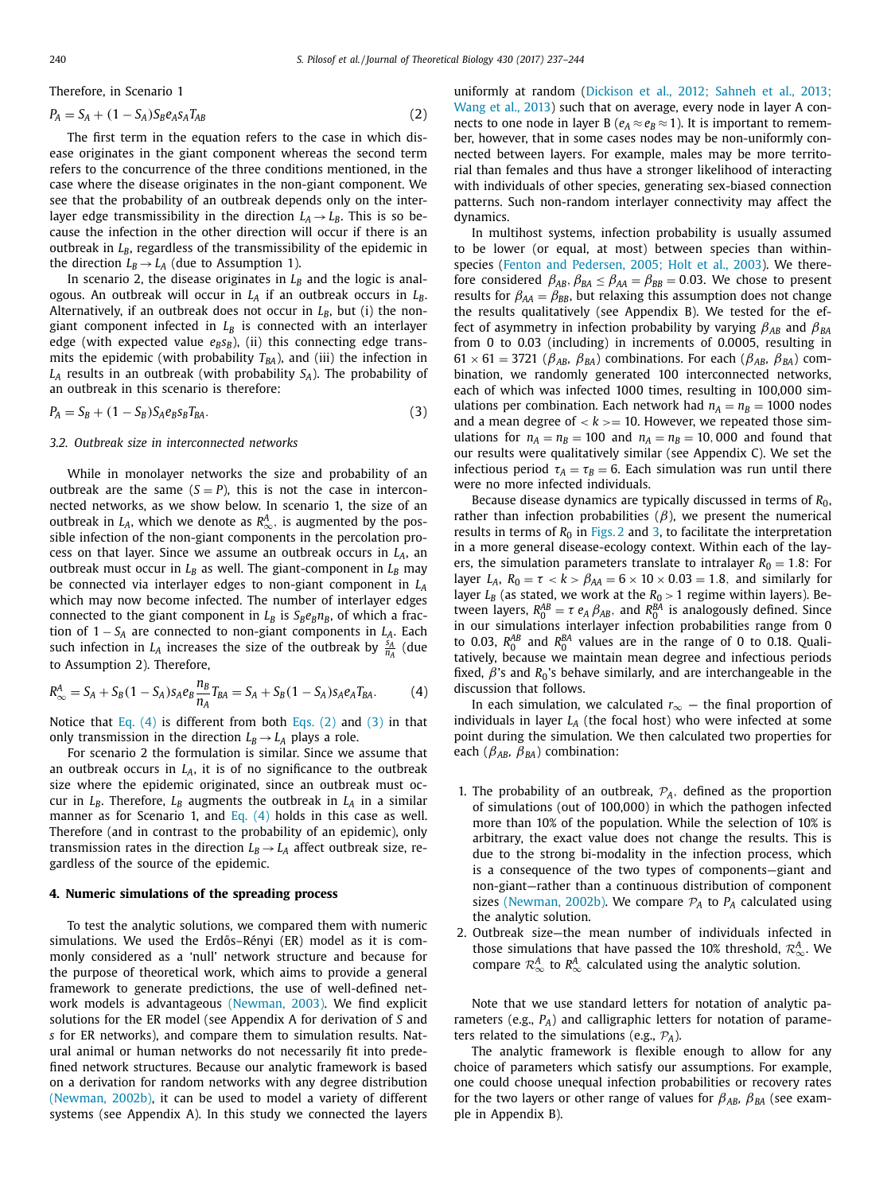<span id="page-3-0"></span>Therefore, in Scenario 1

$$
P_A = S_A + (1 - S_A)S_B e_A s_A T_{AB}
$$
\n<sup>(2)</sup>

The first term in the equation refers to the case in which disease originates in the giant component whereas the second term refers to the concurrence of the three conditions mentioned, in the case where the disease originates in the non-giant component. We see that the probability of an outbreak depends only on the interlayer edge transmissibility in the direction  $L_A \rightarrow L_B$ . This is so because the infection in the other direction will occur if there is an outbreak in  $L_B$ , regardless of the transmissibility of the epidemic in the direction  $L_B \rightarrow L_A$  (due to Assumption 1).

In scenario 2, the disease originates in  $L_B$  and the logic is analogous. An outbreak will occur in  $L_A$  if an outbreak occurs in  $L_B$ . Alternatively, if an outbreak does not occur in  $L_B$ , but (i) the nongiant component infected in  $L_B$  is connected with an interlayer edge (with expected value  $e_B s_B$ ), (ii) this connecting edge transmits the epidemic (with probability  $T_{BA}$ ), and (iii) the infection in *LA* results in an outbreak (with probability *SA*). The probability of an outbreak in this scenario is therefore:

$$
P_A = S_B + (1 - S_B) S_A e_B s_B T_{BA}.
$$
\n(3)

#### *3.2. Outbreak size in interconnected networks*

While in monolayer networks the size and probability of an outbreak are the same  $(S = P)$ , this is not the case in interconnected networks, as we show below. In scenario 1, the size of an outbreak in  $L_A$ , which we denote as  $R^A_{\infty}$ , is augmented by the possible infection of the non-giant components in the percolation process on that layer. Since we assume an outbreak occurs in  $L_A$ , an outbreak must occur in  $L_B$  as well. The giant-component in  $L_B$  may be connected via interlayer edges to non-giant component in *LA* which may now become infected. The number of interlayer edges connected to the giant component in  $L_B$  is  $S_Be_Bn_B$ , of which a fraction of 1 − *SA* are connected to non-giant components in *LA*. Each such infection in  $L_A$  increases the size of the outbreak by  $\frac{\dot{s}_A}{n_A}$  (due to Assumption 2). Therefore,

$$
R_{\infty}^{A} = S_{A} + S_{B}(1 - S_{A})s_{A}e_{B}\frac{n_{B}}{n_{A}}T_{BA} = S_{A} + S_{B}(1 - S_{A})s_{A}e_{A}T_{BA}.
$$
 (4)

Notice that Eq.  $(4)$  is different from both Eqs.  $(2)$  and  $(3)$  in that only transmission in the direction  $L_B \rightarrow L_A$  plays a role.

For scenario 2 the formulation is similar. Since we assume that an outbreak occurs in  $L_A$ , it is of no significance to the outbreak size where the epidemic originated, since an outbreak must occur in  $L_B$ . Therefore,  $L_B$  augments the outbreak in  $L_A$  in a similar manner as for Scenario 1, and Eq. (4) holds in this case as well. Therefore (and in contrast to the probability of an epidemic), only transmission rates in the direction  $L_B \rightarrow L_A$  affect outbreak size, regardless of the source of the epidemic.

# **4. Numeric simulations of the spreading process**

To test the analytic solutions, we compared them with numeric simulations. We used the Erdős–Rényi (ER) model as it is commonly considered as a 'null' network structure and because for the purpose of theoretical work, which aims to provide a general framework to generate predictions, the use of well-defined network models is advantageous [\(Newman,](#page-7-0) 2003). We find explicit solutions for the ER model (see Appendix A for derivation of *S* and *s* for ER networks), and compare them to simulation results. Natural animal or human networks do not necessarily fit into predefined network structures. Because our analytic framework is based on a derivation for random networks with any degree distribution [\(Newman,](#page-7-0) 2002b), it can be used to model a variety of different systems (see Appendix A). In this study we connected the layers [uniformly](#page-7-0) at random (Dickison et al., 2012; Sahneh et al., 2013; Wang et al., 2013) such that on average, every node in layer A connects to one node in layer B ( $e_A \approx e_B \approx 1$ ). It is important to remember, however, that in some cases nodes may be non-uniformly connected between layers. For example, males may be more territorial than females and thus have a stronger likelihood of interacting with individuals of other species, generating sex-biased connection patterns. Such non-random interlayer connectivity may affect the dynamics.

In multihost systems, infection probability is usually assumed to be lower (or equal, at most) between species than withinspecies (Fenton and [Pedersen,](#page-7-0) 2005; Holt et al., 2003). We therefore considered  $\beta_{AB}$ ,  $\beta_{BA} \leq \beta_{AA} = \beta_{BB} = 0.03$ . We chose to present results for  $\beta_{AA} = \beta_{BB}$ , but relaxing this assumption does not change the results qualitatively (see Appendix B). We tested for the effect of asymmetry in infection probability by varying  $\beta_{AB}$  and  $\beta_{BA}$ from 0 to 0.03 (including) in increments of 0.0005, resulting in  $61 \times 61 = 3721$  ( $\beta_{AB}$ ,  $\beta_{BA}$ ) combinations. For each ( $\beta_{AB}$ ,  $\beta_{BA}$ ) combination, we randomly generated 100 interconnected networks, each of which was infected 1000 times, resulting in 100,000 simulations per combination. Each network had  $n_A = n_B = 1000$  nodes and a mean degree of  $k \ge 10$ . However, we repeated those simulations for  $n_A = n_B = 100$  and  $n_A = n_B = 10,000$  and found that our results were qualitatively similar (see Appendix C). We set the infectious period  $\tau_A = \tau_B = 6$ . Each simulation was run until there were no more infected individuals.

Because disease dynamics are typically discussed in terms of *R*0, rather than infection probabilities  $(\beta)$ , we present the numerical results in terms of  $R_0$  in [Figs.](#page-4-0) 2 and [3,](#page-5-0) to facilitate the interpretation in a more general disease-ecology context. Within each of the layers, the simulation parameters translate to intralayer  $R_0 = 1.8$ : For layer  $L_A$ ,  $R_0 = \tau < k > \beta_{AA} = 6 \times 10 \times 0.03 = 1.8$ , and similarly for layer  $L_B$  (as stated, we work at the  $R_0 > 1$  regime within layers). Between layers,  $R_0^{AB} = \tau e_A \beta_{AB}$ , and  $R_0^{BA}$  is analogously defined. Since in our simulations interlayer infection probabilities range from 0 to 0.03,  $R_0^{AB}$  and  $R_0^{BA}$  values are in the range of 0 to 0.18. Qualitatively, because we maintain mean degree and infectious periods fixed,  $\beta$ 's and  $R_0$ 's behave similarly, and are interchangeable in the discussion that follows.

In each simulation, we calculated *r*<sup>∞</sup> — the final proportion of individuals in layer  $L_A$  (the focal host) who were infected at some point during the simulation. We then calculated two properties for each ( $\beta_{AB}$ ,  $\beta_{BA}$ ) combination:

- 1. The probability of an outbreak,  $P_A$ , defined as the proportion of simulations (out of 100,000) in which the pathogen infected more than 10% of the population. While the selection of 10% is arbitrary, the exact value does not change the results. This is due to the strong bi-modality in the infection process, which is a consequence of the two types of components—giant and non-giant—rather than a continuous distribution of component sizes [\(Newman,](#page-7-0) 2002b). We compare  $P_A$  to  $P_A$  calculated using the analytic solution.
- 2. Outbreak size—the mean number of individuals infected in those simulations that have passed the 10% threshold,  $\mathcal{R}^A_{\infty}$ . We compare  $\mathcal{R}_{\infty}^{A}$  to  $\mathcal{R}_{\infty}^{A}$  calculated using the analytic solution.

Note that we use standard letters for notation of analytic parameters (e.g., *PA*) and calligraphic letters for notation of parameters related to the simulations (e.g., P*A*).

The analytic framework is flexible enough to allow for any choice of parameters which satisfy our assumptions. For example, one could choose unequal infection probabilities or recovery rates for the two layers or other range of values for  $\beta_{AB}$ ,  $\beta_{BA}$  (see example in Appendix B).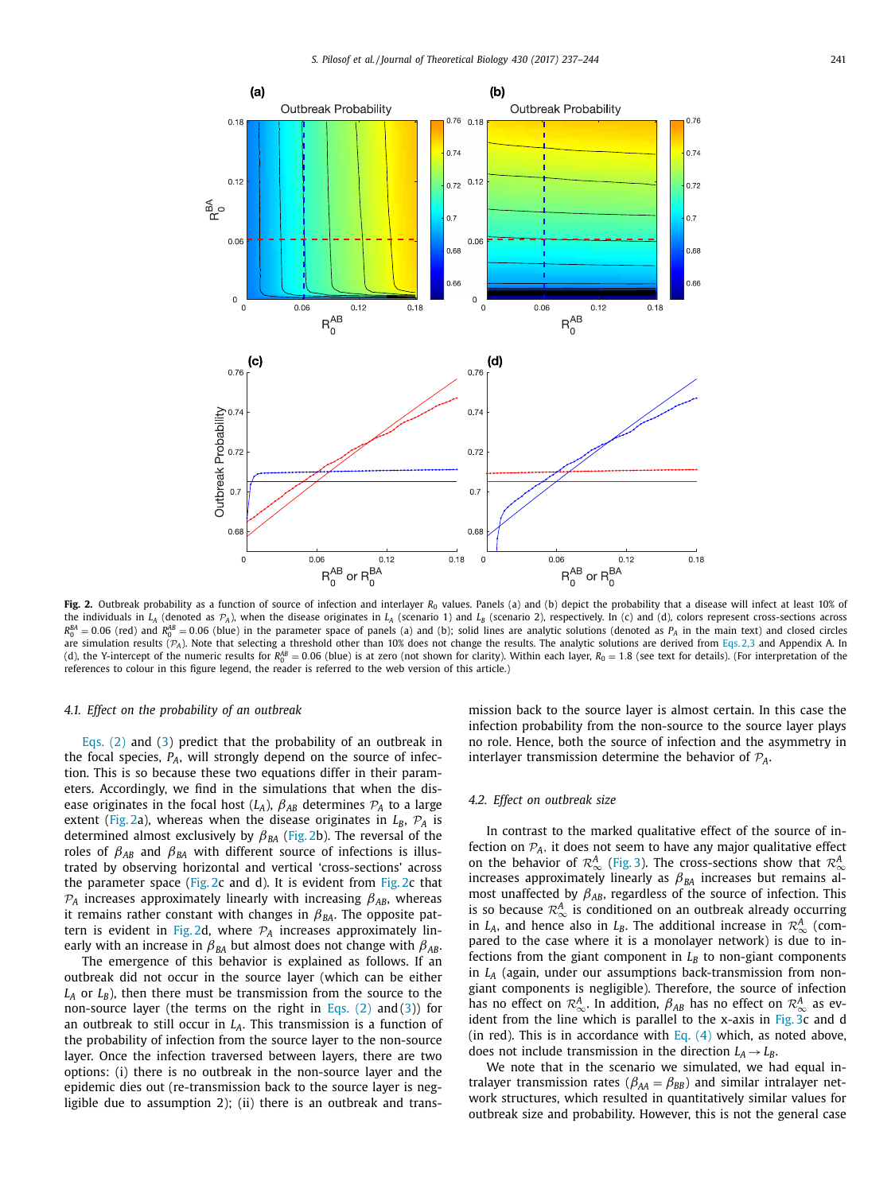<span id="page-4-0"></span>

**Fig. 2.** Outbreak probability as a function of source of infection and interlayer  $R_0$  values. Panels (a) and (b) depict the probability that a disease will infect at least 10% of the individuals in  $L_A$  (denoted as  $\mathcal{P}_A$ ), when the disease originates in  $L_A$  (scenario 1) and  $L_B$  (scenario 2), respectively. In (c) and (d), colors represent cross-sections across  $R_0^{BA} = 0.06$  (red) and  $R_0^{AB} = 0.06$  (blue) in the parameter space of panels (a) and (b); solid lines are analytic solutions (denoted as *P<sub>A</sub>* in the main text) and closed circles are simulation results ( $P_A$ ). Note that selecting a threshold other than 10% does not change the results. The analytic solutions are derived from [Eqs.](#page-3-0) 2,3 and Appendix A. In (d), the Y-intercept of the numeric results for  $R_0^{\prime B} = 0.06$  (blue) is at zero (not shown for clarity). Within each layer,  $R_0 = 1.8$  (see text for details). (For interpretation of the references to colour in this figure legend, the reader is referred to the web version of this article.)

#### *4.1. Effect on the probability of an outbreak*

[Eqs.](#page-3-0) (2) and [\(3\)](#page-3-0) predict that the probability of an outbreak in the focal species,  $P_A$ , will strongly depend on the source of infection. This is so because these two equations differ in their parameters. Accordingly, we find in the simulations that when the disease originates in the focal host  $(L_A)$ ,  $\beta_{AB}$  determines  $\mathcal{P}_A$  to a large extent (Fig. 2a), whereas when the disease originates in  $L_B$ ,  $P_A$  is determined almost exclusively by β*BA* (Fig. 2b). The reversal of the roles of  $\beta_{AB}$  and  $\beta_{BA}$  with different source of infections is illustrated by observing horizontal and vertical 'cross-sections' across the parameter space (Fig. 2c and d). It is evident from Fig. 2c that  $P_A$  increases approximately linearly with increasing  $\beta_{AB}$ , whereas it remains rather constant with changes in  $\beta_{BA}$ . The opposite pattern is evident in Fig. 2d, where  $P_A$  increases approximately linearly with an increase in  $\beta_{BA}$  but almost does not change with  $\beta_{AB}$ .

The emergence of this behavior is explained as follows. If an outbreak did not occur in the source layer (which can be either  $L_A$  or  $L_B$ ), then there must be transmission from the source to the non-source layer (the terms on the right in [Eqs.](#page-3-0)  $(2)$  and  $(3)$ ) for an outbreak to still occur in *LA*. This transmission is a function of the probability of infection from the source layer to the non-source layer. Once the infection traversed between layers, there are two options: (i) there is no outbreak in the non-source layer and the epidemic dies out (re-transmission back to the source layer is negligible due to assumption 2); (ii) there is an outbreak and transmission back to the source layer is almost certain. In this case the infection probability from the non-source to the source layer plays no role. Hence, both the source of infection and the asymmetry in interlayer transmission determine the behavior of P*A*.

## *4.2. Effect on outbreak size*

In contrast to the marked qualitative effect of the source of infection on  $P_A$ , it does not seem to have any major qualitative effect on the behavior of  $\mathcal{R}^A_{\infty}$  [\(Fig.](#page-5-0) 3). The cross-sections show that  $\mathcal{R}^A_{\infty}$ increases approximately linearly as  $\beta_{BA}$  increases but remains almost unaffected by  $\beta_{AB}$ , regardless of the source of infection. This is so because  $\mathcal{R}_{\infty}^{A}$  is conditioned on an outbreak already occurring in *L<sub>A</sub>*, and hence also in *L<sub>B</sub>*. The additional increase in  $\mathcal{R}^A_{\infty}$  (compared to the case where it is a monolayer network) is due to infections from the giant component in  $L_B$  to non-giant components in *LA* (again, under our assumptions back-transmission from nongiant components is negligible). Therefore, the source of infection has no effect on  $\mathcal{R}_{\infty}^A$ . In addition,  $\beta_{AB}$  has no effect on  $\mathcal{R}_{\infty}^A$  as evident from the line which is parallel to the x-axis in [Fig.](#page-5-0) 3c and d (in red). This is in accordance with [Eq.](#page-3-0)  $(4)$  which, as noted above, does not include transmission in the direction  $L_A \rightarrow L_B$ .

We note that in the scenario we simulated, we had equal intralayer transmission rates ( $\beta_{AA} = \beta_{BB}$ ) and similar intralayer network structures, which resulted in quantitatively similar values for outbreak size and probability. However, this is not the general case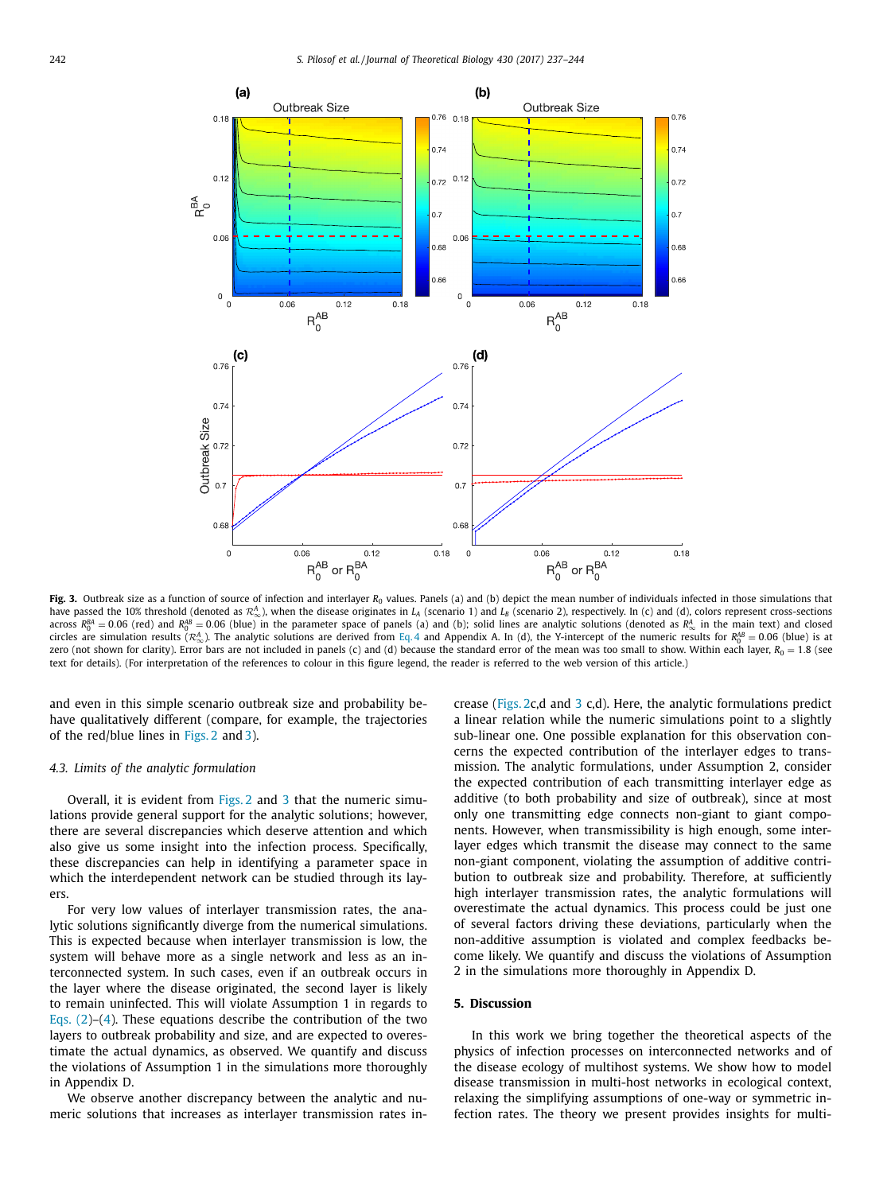<span id="page-5-0"></span>

Fig. 3. Outbreak size as a function of source of infection and interlayer *R*<sub>0</sub> values. Panels (a) and (b) depict the mean number of individuals infected in those simulations that have passed the 10% threshold (denoted as  $\mathcal{R}^A_{\infty}$ ), when the disease originates in *L<sub>A</sub>* (scenario 1) and *L<sub>B</sub>* (scenario 2), respectively. In (c) and (d), colors represent cross-sections across  $R_0^{BA} = 0.06$  (red) and  $R_0^{AB} = 0.06$  (blue) in the parameter space of panels (a) and (b); solid lines are analytic solutions (denoted as  $R_\infty^A$  in the main text) and closed circles are simulation results ( $\mathcal{R}^A_{\infty}$ ). The analytic solutions are derived from [Eq.](#page-3-0) 4 and Appendix A. In (d), the Y-intercept of the numeric results for  $\mathcal{R}^{AB}_0 = 0.06$  (blue) is at zero (not shown for clarity). Error bars are not included in panels (c) and (d) because the standard error of the mean was too small to show. Within each layer,  $R_0 = 1.8$  (see text for details). (For interpretation of the references to colour in this figure legend, the reader is referred to the web version of this article.)

and even in this simple scenario outbreak size and probability behave qualitatively different (compare, for example, the trajectories of the red/blue lines in [Figs.](#page-4-0) 2 and 3).

### *4.3. Limits of the analytic formulation*

Overall, it is evident from [Figs.](#page-4-0) 2 and 3 that the numeric simulations provide general support for the analytic solutions; however, there are several discrepancies which deserve attention and which also give us some insight into the infection process. Specifically, these discrepancies can help in identifying a parameter space in which the interdependent network can be studied through its layers.

For very low values of interlayer transmission rates, the analytic solutions significantly diverge from the numerical simulations. This is expected because when interlayer transmission is low, the system will behave more as a single network and less as an interconnected system. In such cases, even if an outbreak occurs in the layer where the disease originated, the second layer is likely to remain uninfected. This will violate Assumption 1 in regards to [Eqs.](#page-3-0)  $(2)-(4)$  $(2)-(4)$ . These equations describe the contribution of the two layers to outbreak probability and size, and are expected to overestimate the actual dynamics, as observed. We quantify and discuss the violations of Assumption 1 in the simulations more thoroughly in Appendix D.

We observe another discrepancy between the analytic and numeric solutions that increases as interlayer transmission rates increase [\(Figs.](#page-4-0) 2c,d and 3 c,d). Here, the analytic formulations predict a linear relation while the numeric simulations point to a slightly sub-linear one. One possible explanation for this observation concerns the expected contribution of the interlayer edges to transmission. The analytic formulations, under Assumption 2, consider the expected contribution of each transmitting interlayer edge as additive (to both probability and size of outbreak), since at most only one transmitting edge connects non-giant to giant components. However, when transmissibility is high enough, some interlayer edges which transmit the disease may connect to the same non-giant component, violating the assumption of additive contribution to outbreak size and probability. Therefore, at sufficiently high interlayer transmission rates, the analytic formulations will overestimate the actual dynamics. This process could be just one of several factors driving these deviations, particularly when the non-additive assumption is violated and complex feedbacks become likely. We quantify and discuss the violations of Assumption 2 in the simulations more thoroughly in Appendix D.

#### **5. Discussion**

In this work we bring together the theoretical aspects of the physics of infection processes on interconnected networks and of the disease ecology of multihost systems. We show how to model disease transmission in multi-host networks in ecological context, relaxing the simplifying assumptions of one-way or symmetric infection rates. The theory we present provides insights for multi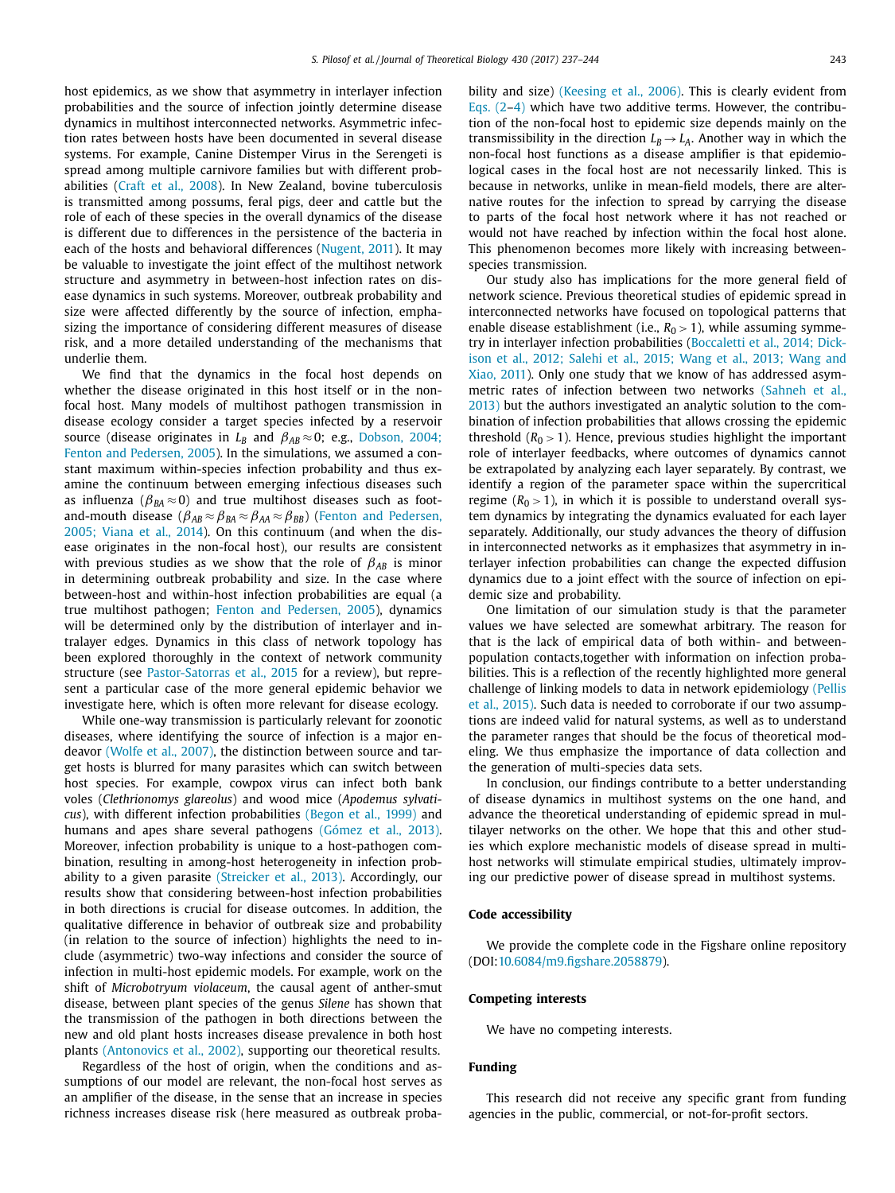host epidemics, as we show that asymmetry in interlayer infection probabilities and the source of infection jointly determine disease dynamics in multihost interconnected networks. Asymmetric infection rates between hosts have been documented in several disease systems. For example, Canine Distemper Virus in the Serengeti is spread among multiple carnivore families but with different probabilities (Craft et al., [2008\)](#page-7-0). In New Zealand, bovine tuberculosis is transmitted among possums, feral pigs, deer and cattle but the role of each of these species in the overall dynamics of the disease is different due to differences in the persistence of the bacteria in each of the hosts and behavioral differences [\(Nugent,](#page-7-0) 2011). It may be valuable to investigate the joint effect of the multihost network structure and asymmetry in between-host infection rates on disease dynamics in such systems. Moreover, outbreak probability and size were affected differently by the source of infection, emphasizing the importance of considering different measures of disease risk, and a more detailed understanding of the mechanisms that underlie them.

We find that the dynamics in the focal host depends on whether the disease originated in this host itself or in the nonfocal host. Many models of multihost pathogen transmission in disease ecology consider a target species infected by a reservoir source (disease originates in  $L_B$  and  $\beta_{AB} \approx 0$ ; e.g., Dobson, 2004; Fenton and Pedersen, 2005). In the [simulations,](#page-7-0) we assumed a constant maximum within-species infection probability and thus examine the continuum between emerging infectious diseases such as influenza ( $\beta_{BA} \approx 0$ ) and true multihost diseases such as foot[and-mouth](#page-7-0) disease ( $\beta_{AB} \approx \beta_{BA} \approx \beta_{AA} \approx \beta_{BB}$ ) (Fenton and Pedersen, 2005; Viana et al., 2014). On this continuum (and when the disease originates in the non-focal host), our results are consistent with previous studies as we show that the role of  $\beta_{AB}$  is minor in determining outbreak probability and size. In the case where between-host and within-host infection probabilities are equal (a true multihost pathogen; Fenton and [Pedersen,](#page-7-0) 2005), dynamics will be determined only by the distribution of interlayer and intralayer edges. Dynamics in this class of network topology has been explored thoroughly in the context of network community structure (see [Pastor-Satorras](#page-7-0) et al., 2015 for a review), but represent a particular case of the more general epidemic behavior we investigate here, which is often more relevant for disease ecology.

While one-way transmission is particularly relevant for zoonotic diseases, where identifying the source of infection is a major endeavor [\(Wolfe](#page-7-0) et al., 2007), the distinction between source and target hosts is blurred for many parasites which can switch between host species. For example, cowpox virus can infect both bank voles (*Clethrionomys glareolus*) and wood mice (*Apodemus sylvaticus*), with different infection probabilities [\(Begon](#page-7-0) et al., 1999) and humans and apes share several pathogens [\(Gómez](#page-7-0) et al., 2013). Moreover, infection probability is unique to a host-pathogen combination, resulting in among-host heterogeneity in infection probability to a given parasite [\(Streicker](#page-7-0) et al., 2013). Accordingly, our results show that considering between-host infection probabilities in both directions is crucial for disease outcomes. In addition, the qualitative difference in behavior of outbreak size and probability (in relation to the source of infection) highlights the need to include (asymmetric) two-way infections and consider the source of infection in multi-host epidemic models. For example, work on the shift of *Microbotryum violaceum*, the causal agent of anther-smut disease, between plant species of the genus *Silene* has shown that the transmission of the pathogen in both directions between the new and old plant hosts increases disease prevalence in both host plants [\(Antonovics](#page-7-0) et al., 2002), supporting our theoretical results.

Regardless of the host of origin, when the conditions and assumptions of our model are relevant, the non-focal host serves as an amplifier of the disease, in the sense that an increase in species richness increases disease risk (here measured as outbreak probability and size) [\(Keesing](#page-7-0) et al., 2006). This is clearly evident from [Eqs.](#page-3-0)  $(2-4)$  which have two additive terms. However, the contribution of the non-focal host to epidemic size depends mainly on the transmissibility in the direction  $L_B \rightarrow L_A$ . Another way in which the non-focal host functions as a disease amplifier is that epidemiological cases in the focal host are not necessarily linked. This is because in networks, unlike in mean-field models, there are alternative routes for the infection to spread by carrying the disease to parts of the focal host network where it has not reached or would not have reached by infection within the focal host alone. This phenomenon becomes more likely with increasing betweenspecies transmission.

Our study also has implications for the more general field of network science. Previous theoretical studies of epidemic spread in interconnected networks have focused on topological patterns that enable disease establishment (i.e.,  $R_0 > 1$ ), while assuming symmetry in interlayer infection [probabilities](#page-7-0) (Boccaletti et al., 2014; Dickison et al., 2012; Salehi et al., 2015; Wang et al., 2013; Wang and Xiao, 2011). Only one study that we know of has addressed asymmetric rates of infection between two networks (Sahneh et al., 2013) but the authors [investigated](#page-7-0) an analytic solution to the combination of infection probabilities that allows crossing the epidemic threshold  $(R_0 > 1)$ . Hence, previous studies highlight the important role of interlayer feedbacks, where outcomes of dynamics cannot be extrapolated by analyzing each layer separately. By contrast, we identify a region of the parameter space within the supercritical regime  $(R_0 > 1)$ , in which it is possible to understand overall system dynamics by integrating the dynamics evaluated for each layer separately. Additionally, our study advances the theory of diffusion in interconnected networks as it emphasizes that asymmetry in interlayer infection probabilities can change the expected diffusion dynamics due to a joint effect with the source of infection on epidemic size and probability.

One limitation of our simulation study is that the parameter values we have selected are somewhat arbitrary. The reason for that is the lack of empirical data of both within- and betweenpopulation contacts,together with information on infection probabilities. This is a reflection of the recently highlighted more general challenge of linking models to data in network [epidemiology](#page-7-0) (Pellis et al., 2015). Such data is needed to corroborate if our two assumptions are indeed valid for natural systems, as well as to understand the parameter ranges that should be the focus of theoretical modeling. We thus emphasize the importance of data collection and the generation of multi-species data sets.

In conclusion, our findings contribute to a better understanding of disease dynamics in multihost systems on the one hand, and advance the theoretical understanding of epidemic spread in multilayer networks on the other. We hope that this and other studies which explore mechanistic models of disease spread in multihost networks will stimulate empirical studies, ultimately improving our predictive power of disease spread in multihost systems.

## **Code accessibility**

We provide the complete code in the Figshare online repository (DOI[:10.6084/m9.figshare.2058879\)](https://doi.org/10.6084/m9.figshare.2058879).

#### **Competing interests**

We have no competing interests.

## **Funding**

This research did not receive any specific grant from funding agencies in the public, commercial, or not-for-profit sectors.